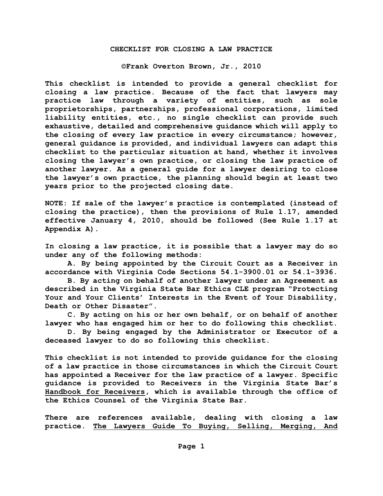### **CHECKLIST FOR CLOSING A LAW PRACTICE**

**©Frank Overton Brown, Jr., 2010**

**This checklist is intended to provide a general checklist for closing a law practice. Because of the fact that lawyers may practice law through a variety of entities, such as sole proprietorships, partnerships, professional corporations, limited liability entities, etc., no single checklist can provide such exhaustive, detailed and comprehensive guidance which will apply to the closing of every law practice in every circumstance; however, general guidance is provided, and individual lawyers can adapt this checklist to the particular situation at hand, whether it involves closing the lawyer's own practice, or closing the law practice of another lawyer. As a general guide for a lawyer desiring to close the lawyer's own practice, the planning should begin at least two years prior to the projected closing date.**

**NOTE: If sale of the lawyer's practice is contemplated (instead of closing the practice), then the provisions of Rule 1.17, amended effective January 4, 2010, should be followed (See Rule 1.17 at Appendix A).** 

**In closing a law practice, it is possible that a lawyer may do so under any of the following methods:**

**A. By being appointed by the Circuit Court as a Receiver in accordance with Virginia Code Sections 54.1-3900.01 or 54.1-3936.**

**B. By acting on behalf of another lawyer under an Agreement as described in the Virginia State Bar Ethics CLE program "Protecting Your and Your Clients' Interests in the Event of Your Disability, Death or Other Disaster".**

**C. By acting on his or her own behalf, or on behalf of another lawyer who has engaged him or her to do following this checklist.**

**D. By being engaged by the Administrator or Executor of a deceased lawyer to do so following this checklist.** 

**This checklist is not intended to provide guidance for the closing of a law practice in those circumstances in which the Circuit Court has appointed a Receiver for the law practice of a lawyer. Specific guidance is provided to Receivers in the Virginia State Bar's Handbook for Receivers, which is available through the office of the Ethics Counsel of the Virginia State Bar.**

**There are references available, dealing with closing a law practice. The Lawyers Guide To Buying, Selling, Merging, And**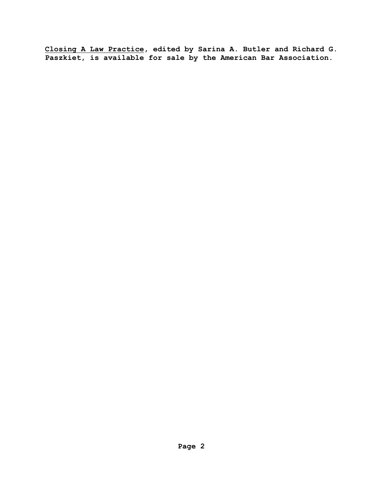**Closing A Law Practice, edited by Sarina A. Butler and Richard G. Paszkiet, is available for sale by the American Bar Association.**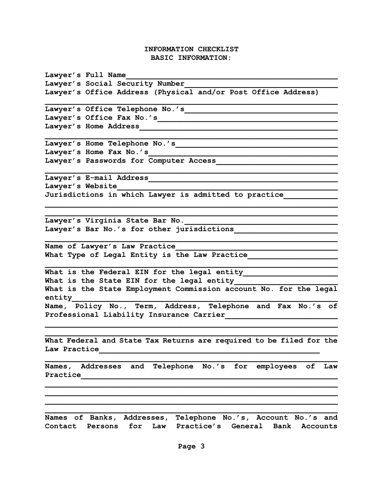### **INFORMATION CHECKLIST BASIC INFORMATION:**

**Lawyer's Full Name\_\_\_\_\_\_\_\_\_\_\_\_\_\_\_\_\_\_\_\_\_\_\_\_\_\_\_\_\_\_\_\_\_\_\_\_\_\_\_\_\_\_\_\_\_\_\_**

Lawyer's Social Security Number **Lawyer's Office Address (Physical and/or Post Office Address) \_\_\_\_\_\_\_\_\_\_\_\_\_\_\_\_\_\_\_\_\_\_\_\_\_\_\_\_\_\_\_\_\_\_\_\_\_\_\_\_\_\_\_\_\_\_\_\_\_\_\_\_\_\_\_\_\_\_\_\_\_\_\_\_\_ Lawyer's Office Telephone No.'s\_\_\_\_\_\_\_\_\_\_\_\_\_\_\_\_\_\_\_\_\_\_\_\_\_\_\_\_\_\_\_\_\_\_ Lawyer's Office Fax No.'s\_\_\_\_\_\_\_\_\_\_\_\_\_\_\_\_\_\_\_\_\_\_\_\_\_\_\_\_\_\_\_\_\_\_\_\_\_\_\_\_ Lawyer's Home Address\_\_\_\_\_\_\_\_\_\_\_\_\_\_\_\_\_\_\_\_\_\_\_\_\_\_\_\_\_\_\_\_\_\_\_\_\_\_\_\_\_\_\_\_ \_\_\_\_\_\_\_\_\_\_\_\_\_\_\_\_\_\_\_\_\_\_\_\_\_\_\_\_\_\_\_\_\_\_\_\_\_\_\_\_\_\_\_\_\_\_\_\_\_\_\_\_\_\_\_\_\_\_\_\_\_\_\_\_\_ Lawyer's Home Telephone No.'s\_\_\_\_\_\_\_\_\_\_\_\_\_\_\_\_\_\_\_\_\_\_\_\_\_\_\_\_\_\_\_\_\_\_\_\_** Lawyer's Home Fax No.'s Lawyer's Passwords for Computer Access **\_\_\_\_\_\_\_\_\_\_\_\_\_\_\_\_\_\_\_\_\_\_\_\_\_\_\_\_\_\_\_\_\_\_\_\_\_\_\_\_\_\_\_\_\_\_\_\_\_\_\_\_\_\_\_\_\_\_\_\_\_\_\_\_\_** Lawyer's E-mail Address **Lawyer's Website\_\_\_\_\_\_\_\_\_\_\_\_\_\_\_\_\_\_\_\_\_\_\_\_\_\_\_\_\_\_\_\_\_\_\_\_\_\_\_\_\_\_\_\_\_\_\_\_\_ Jurisdictions in which Lawyer is admitted to practice\_\_\_\_\_\_\_\_\_\_\_\_ \_\_\_\_\_\_\_\_\_\_\_\_\_\_\_\_\_\_\_\_\_\_\_\_\_\_\_\_\_\_\_\_\_\_\_\_\_\_\_\_\_\_\_\_\_\_\_\_\_\_\_\_\_\_\_\_\_\_\_\_\_\_\_\_\_ \_\_\_\_\_\_\_\_\_\_\_\_\_\_\_\_\_\_\_\_\_\_\_\_\_\_\_\_\_\_\_\_\_\_\_\_\_\_\_\_\_\_\_\_\_\_\_\_\_\_\_\_\_\_\_\_\_\_\_\_\_\_\_\_\_** Lawyer's Virginia State Bar No. Lawyer's Bar No.'s for other jurisdictions **\_\_\_\_\_\_\_\_\_\_\_\_\_\_\_\_\_\_\_\_\_\_\_\_\_\_\_\_\_\_\_\_\_\_\_\_\_\_\_\_\_\_\_\_\_\_\_\_\_\_\_\_\_\_\_\_\_\_\_\_\_\_\_\_\_** Name of Lawyer's Law Practice What Type of Legal Entity is the Law Practice **\_\_\_\_\_\_\_\_\_\_\_\_\_\_\_\_\_\_\_\_\_\_\_\_\_\_\_\_\_\_\_\_\_\_\_\_\_\_\_\_\_\_\_\_\_\_\_\_\_\_\_\_\_\_\_\_\_\_\_\_\_\_\_\_\_ What is the Federal EIN for the legal entity\_\_\_\_\_\_\_\_\_\_\_\_\_\_\_\_\_\_\_\_\_ What is the State EIN for the legal entity\_\_\_\_\_\_\_\_\_\_\_\_\_\_\_\_\_\_\_\_\_\_\_ What is the State Employment Commission account No. for the legal entity\_\_\_\_\_\_\_\_\_\_\_\_\_\_\_\_\_\_\_\_\_\_\_\_\_\_\_\_\_\_\_\_\_\_\_\_\_\_\_\_\_\_\_\_\_\_\_\_\_\_\_\_\_\_\_\_\_\_\_ Name, Policy No., Term, Address, Telephone and Fax No.'s of Professional Liability Insurance Carrier\_\_\_\_\_\_\_\_\_\_\_\_\_\_\_\_\_\_\_\_\_\_\_\_\_ \_\_\_\_\_\_\_\_\_\_\_\_\_\_\_\_\_\_\_\_\_\_\_\_\_\_\_\_\_\_\_\_\_\_\_\_\_\_\_\_\_\_\_\_\_\_\_\_\_\_\_\_\_\_\_\_\_\_\_\_\_\_\_\_\_ \_\_\_\_\_\_\_\_\_\_\_\_\_\_\_\_\_\_\_\_\_\_\_\_\_\_\_\_\_\_\_\_\_\_\_\_\_\_\_\_\_\_\_\_\_\_\_\_\_\_\_\_\_\_\_\_\_\_\_\_\_\_\_\_\_ What Federal and State Tax Returns are required to be filed for the Law Practice\_\_\_\_\_\_\_\_\_\_\_\_\_\_\_\_\_\_\_\_\_\_\_\_\_\_\_\_\_\_\_\_\_\_\_\_\_\_\_\_\_\_\_\_\_\_\_\_\_ \_\_\_\_\_\_\_\_\_\_\_\_\_\_\_\_\_\_\_\_\_\_\_\_\_\_\_\_\_\_\_\_\_\_\_\_\_\_\_\_\_\_\_\_\_\_\_\_\_\_\_\_\_\_\_\_\_\_\_\_\_\_\_\_\_ Names, Addresses and Telephone No.'s for employees of Law Practice\_\_\_\_\_\_\_\_\_\_\_\_\_\_\_\_\_\_\_\_\_\_\_\_\_\_\_\_\_\_\_\_\_\_\_\_\_\_\_\_\_\_\_\_\_\_\_\_\_\_\_\_\_\_\_\_\_ \_\_\_\_\_\_\_\_\_\_\_\_\_\_\_\_\_\_\_\_\_\_\_\_\_\_\_\_\_\_\_\_\_\_\_\_\_\_\_\_\_\_\_\_\_\_\_\_\_\_\_\_\_\_\_\_\_\_\_\_\_\_\_\_\_ \_\_\_\_\_\_\_\_\_\_\_\_\_\_\_\_\_\_\_\_\_\_\_\_\_\_\_\_\_\_\_\_\_\_\_\_\_\_\_\_\_\_\_\_\_\_\_\_\_\_\_\_\_\_\_\_\_\_\_\_\_\_\_\_\_ \_\_\_\_\_\_\_\_\_\_\_\_\_\_\_\_\_\_\_\_\_\_\_\_\_\_\_\_\_\_\_\_\_\_\_\_\_\_\_\_\_\_\_\_\_\_\_\_\_\_\_\_\_\_\_\_\_\_\_\_\_\_\_\_\_**

**Names of Banks, Addresses, Telephone No.'s, Account No.'s and Contact Persons for Law Practice's General Bank Accounts**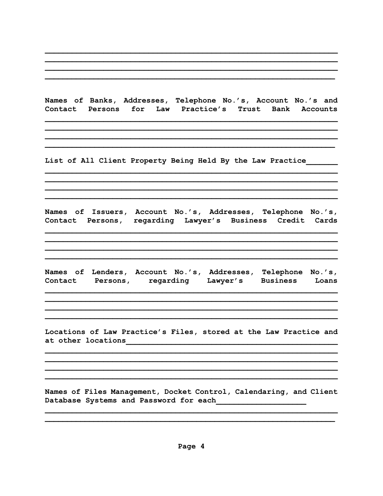Names of Banks, Addresses, Telephone No.'s, Account No.'s and Contact Persons for Law Practice's Trust Bank Accounts

List of All Client Property Being Held By the Law Practice

Names of Issuers, Account No.'s, Addresses, Telephone No.'s, Contact Persons, regarding Lawyer's Business Credit Cards

Names of Lenders, Account No.'s, Addresses, Telephone No.'s, Persons, regarding Lawyer's Business Loans Contact

Locations of Law Practice's Files, stored at the Law Practice and 

Names of Files Management, Docket Control, Calendaring, and Client Database Systems and Password for each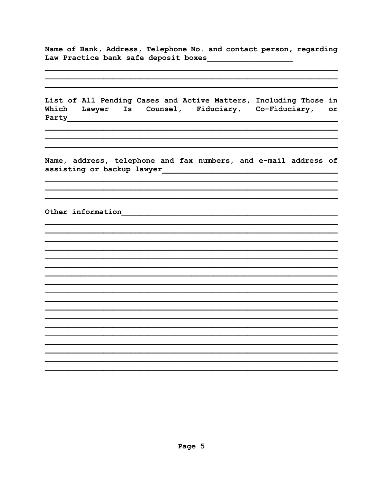Name of Bank, Address, Telephone No. and contact person, regarding 

List of All Pending Cases and Active Matters, Including Those in Which Lawyer Is Counsel, Fiduciary, Co-Fiduciary, or Party

Name, address, telephone and fax numbers, and e-mail address of assisting or backup lawyer

Other information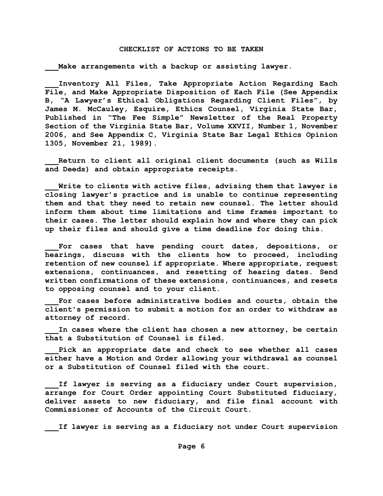### **CHECKLIST OF ACTIONS TO BE TAKEN**

**\_\_\_Make arrangements with a backup or assisting lawyer.**

**\_\_\_Inventory All Files, Take Appropriate Action Regarding Each File, and Make Appropriate Disposition of Each File (See Appendix B, "A Lawyer's Ethical Obligations Regarding Client Files", by James M. McCauley, Esquire, Ethics Counsel, Virginia State Bar, Published in "The Fee Simple" Newsletter of the Real Property Section of the Virginia State Bar, Volume XXVII, Number 1, November 2006, and See Appendix C, Virginia State Bar Legal Ethics Opinion 1305, November 21, 1989).**

**\_\_\_Return to client all original client documents (such as Wills and Deeds) and obtain appropriate receipts.** 

**\_\_\_Write to clients with active files, advising them that lawyer is closing lawyer's practice and is unable to continue representing them and that they need to retain new counsel. The letter should inform them about time limitations and time frames important to their cases. The letter should explain how and where they can pick up their files and should give a time deadline for doing this.**

**\_\_\_For cases that have pending court dates, depositions, or hearings, discuss with the clients how to proceed, including retention of new counsel if appropriate. Where appropriate, request extensions, continuances, and resetting of hearing dates. Send written confirmations of these extensions, continuances, and resets to opposing counsel and to your client.**

**\_\_\_For cases before administrative bodies and courts, obtain the client's permission to submit a motion for an order to withdraw as attorney of record.**

**\_\_\_In cases where the client has chosen a new attorney, be certain that a Substitution of Counsel is filed.**

**\_\_\_Pick an appropriate date and check to see whether all cases either have a Motion and Order allowing your withdrawal as counsel or a Substitution of Counsel filed with the court.**

**\_\_\_If lawyer is serving as a fiduciary under Court supervision, arrange for Court Order appointing Court Substituted fiduciary, deliver assets to new fiduciary, and file final account with Commissioner of Accounts of the Circuit Court.** 

**\_\_\_If lawyer is serving as a fiduciary not under Court supervision**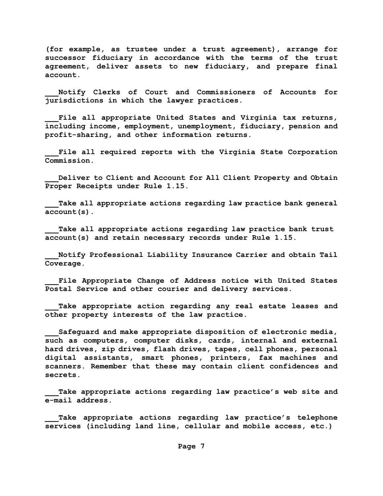**(for example, as trustee under a trust agreement), arrange for successor fiduciary in accordance with the terms of the trust agreement, deliver assets to new fiduciary, and prepare final account.**

**\_\_\_Notify Clerks of Court and Commissioners of Accounts for jurisdictions in which the lawyer practices.**

**\_\_\_File all appropriate United States and Virginia tax returns, including income, employment, unemployment, fiduciary, pension and profit-sharing, and other information returns.**

**\_\_\_File all required reports with the Virginia State Corporation Commission.**

**\_\_\_Deliver to Client and Account for All Client Property and Obtain Proper Receipts under Rule 1.15.**

**\_\_\_Take all appropriate actions regarding law practice bank general account(s).**

**\_\_\_Take all appropriate actions regarding law practice bank trust account(s) and retain necessary records under Rule 1.15.**

**\_\_\_Notify Professional Liability Insurance Carrier and obtain Tail Coverage.**

**\_\_\_File Appropriate Change of Address notice with United States Postal Service and other courier and delivery services.**

**\_\_\_Take appropriate action regarding any real estate leases and other property interests of the law practice.**

**\_\_\_Safeguard and make appropriate disposition of electronic media, such as computers, computer disks, cards, internal and external hard drives, zip drives, flash drives, tapes, cell phones, personal digital assistants, smart phones, printers, fax machines and scanners. Remember that these may contain client confidences and secrets.** 

**\_\_\_Take appropriate actions regarding law practice's web site and e-mail address.**

**\_\_\_Take appropriate actions regarding law practice's telephone services (including land line, cellular and mobile access, etc.)**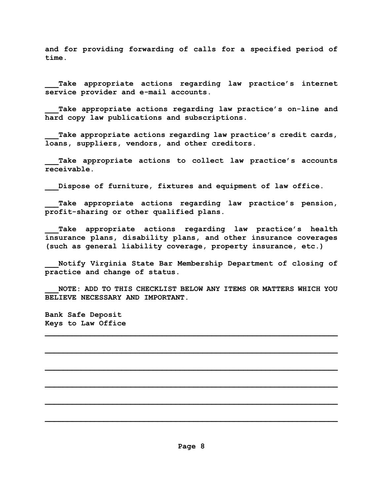**and for providing forwarding of calls for a specified period of time.** 

**\_\_\_Take appropriate actions regarding law practice's internet service provider and e-mail accounts.**

**\_\_\_Take appropriate actions regarding law practice's on-line and hard copy law publications and subscriptions.**

**\_\_\_Take appropriate actions regarding law practice's credit cards, loans, suppliers, vendors, and other creditors.**

**\_\_\_Take appropriate actions to collect law practice's accounts receivable.**

**\_\_\_Dispose of furniture, fixtures and equipment of law office.**

Take appropriate actions regarding law practice's pension, **profit-sharing or other qualified plans.**

**\_\_\_Take appropriate actions regarding law practice's health insurance plans, disability plans, and other insurance coverages (such as general liability coverage, property insurance, etc.)**

**\_\_\_Notify Virginia State Bar Membership Department of closing of practice and change of status.**

**\_\_\_NOTE: ADD TO THIS CHECKLIST BELOW ANY ITEMS OR MATTERS WHICH YOU BELIEVE NECESSARY AND IMPORTANT.**

**\_\_\_\_\_\_\_\_\_\_\_\_\_\_\_\_\_\_\_\_\_\_\_\_\_\_\_\_\_\_\_\_\_\_\_\_\_\_\_\_\_\_\_\_\_\_\_\_\_\_\_\_\_\_\_\_\_\_\_\_\_\_\_\_\_**

**\_\_\_\_\_\_\_\_\_\_\_\_\_\_\_\_\_\_\_\_\_\_\_\_\_\_\_\_\_\_\_\_\_\_\_\_\_\_\_\_\_\_\_\_\_\_\_\_\_\_\_\_\_\_\_\_\_\_\_\_\_\_\_\_\_**

**\_\_\_\_\_\_\_\_\_\_\_\_\_\_\_\_\_\_\_\_\_\_\_\_\_\_\_\_\_\_\_\_\_\_\_\_\_\_\_\_\_\_\_\_\_\_\_\_\_\_\_\_\_\_\_\_\_\_\_\_\_\_\_\_\_**

**\_\_\_\_\_\_\_\_\_\_\_\_\_\_\_\_\_\_\_\_\_\_\_\_\_\_\_\_\_\_\_\_\_\_\_\_\_\_\_\_\_\_\_\_\_\_\_\_\_\_\_\_\_\_\_\_\_\_\_\_\_\_\_\_\_**

**\_\_\_\_\_\_\_\_\_\_\_\_\_\_\_\_\_\_\_\_\_\_\_\_\_\_\_\_\_\_\_\_\_\_\_\_\_\_\_\_\_\_\_\_\_\_\_\_\_\_\_\_\_\_\_\_\_\_\_\_\_\_\_\_\_**

**\_\_\_\_\_\_\_\_\_\_\_\_\_\_\_\_\_\_\_\_\_\_\_\_\_\_\_\_\_\_\_\_\_\_\_\_\_\_\_\_\_\_\_\_\_\_\_\_\_\_\_\_\_\_\_\_\_\_\_\_\_\_\_\_\_**

**Bank Safe Deposit Keys to Law Office**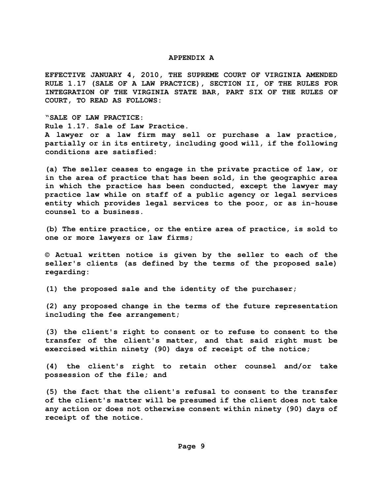#### **APPENDIX A**

**EFFECTIVE JANUARY 4, 2010, THE SUPREME COURT OF VIRGINIA AMENDED RULE 1.17 (SALE OF A LAW PRACTICE), SECTION II, OF THE RULES FOR INTEGRATION OF THE VIRGINIA STATE BAR, PART SIX OF THE RULES OF COURT, TO READ AS FOLLOWS:** 

**"SALE OF LAW PRACTICE:**

**Rule 1.17. Sale of Law Practice. A lawyer or a law firm may sell or purchase a law practice, partially or in its entirety, including good will, if the following conditions are satisfied:** 

**(a) The seller ceases to engage in the private practice of law, or in the area of practice that has been sold, in the geographic area in which the practice has been conducted, except the lawyer may practice law while on staff of a public agency or legal services entity which provides legal services to the poor, or as in-house counsel to a business.** 

**(b) The entire practice, or the entire area of practice, is sold to one or more lawyers or law firms;** 

**© Actual written notice is given by the seller to each of the seller's clients (as defined by the terms of the proposed sale) regarding:** 

**(1) the proposed sale and the identity of the purchaser;** 

**(2) any proposed change in the terms of the future representation including the fee arrangement;** 

**(3) the client's right to consent or to refuse to consent to the transfer of the client's matter, and that said right must be exercised within ninety (90) days of receipt of the notice;** 

**(4) the client's right to retain other counsel and/or take possession of the file; and** 

**(5) the fact that the client's refusal to consent to the transfer of the client's matter will be presumed if the client does not take any action or does not otherwise consent within ninety (90) days of receipt of the notice.**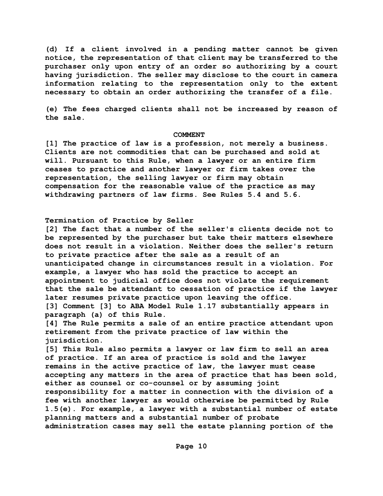**(d) If a client involved in a pending matter cannot be given notice, the representation of that client may be transferred to the purchaser only upon entry of an order so authorizing by a court having jurisdiction. The seller may disclose to the court in camera information relating to the representation only to the extent necessary to obtain an order authorizing the transfer of a file.** 

**(e) The fees charged clients shall not be increased by reason of the sale.** 

#### **COMMENT**

**[1] The practice of law is a profession, not merely a business. Clients are not commodities that can be purchased and sold at will. Pursuant to this Rule, when a lawyer or an entire firm ceases to practice and another lawyer or firm takes over the representation, the selling lawyer or firm may obtain compensation for the reasonable value of the practice as may withdrawing partners of law firms. See Rules 5.4 and 5.6.** 

### **Termination of Practice by Seller**

**[2] The fact that a number of the seller's clients decide not to be represented by the purchaser but take their matters elsewhere does not result in a violation. Neither does the seller's return to private practice after the sale as a result of an unanticipated change in circumstances result in a violation. For example, a lawyer who has sold the practice to accept an appointment to judicial office does not violate the requirement that the sale be attendant to cessation of practice if the lawyer later resumes private practice upon leaving the office. [3] Comment [3] to ABA Model Rule 1.17 substantially appears in**

**paragraph (a) of this Rule. [4] The Rule permits a sale of an entire practice attendant upon**

**retirement from the private practice of law within the jurisdiction.** 

**[5] This Rule also permits a lawyer or law firm to sell an area of practice. If an area of practice is sold and the lawyer remains in the active practice of law, the lawyer must cease accepting any matters in the area of practice that has been sold, either as counsel or co-counsel or by assuming joint responsibility for a matter in connection with the division of a fee with another lawyer as would otherwise be permitted by Rule 1.5(e). For example, a lawyer with a substantial number of estate planning matters and a substantial number of probate administration cases may sell the estate planning portion of the**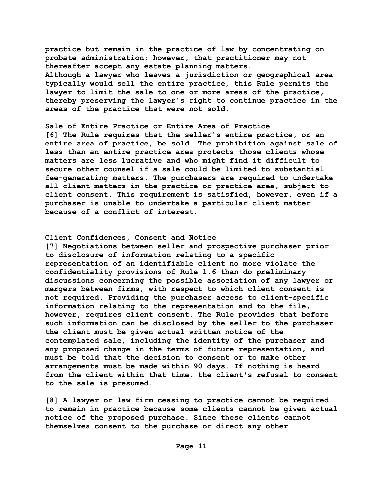**practice but remain in the practice of law by concentrating on probate administration; however, that practitioner may not thereafter accept any estate planning matters. Although a lawyer who leaves a jurisdiction or geographical area typically would sell the entire practice, this Rule permits the lawyer to limit the sale to one or more areas of the practice, thereby preserving the lawyer's right to continue practice in the areas of the practice that were not sold.** 

**Sale of Entire Practice or Entire Area of Practice [6] The Rule requires that the seller's entire practice, or an entire area of practice, be sold. The prohibition against sale of less than an entire practice area protects those clients whose matters are less lucrative and who might find it difficult to secure other counsel if a sale could be limited to substantial fee-generating matters. The purchasers are required to undertake all client matters in the practice or practice area, subject to client consent. This requirement is satisfied, however, even if a purchaser is unable to undertake a particular client matter because of a conflict of interest.**

### **Client Confidences, Consent and Notice**

**[7] Negotiations between seller and prospective purchaser prior to disclosure of information relating to a specific representation of an identifiable client no more violate the confidentiality provisions of Rule 1.6 than do preliminary discussions concerning the possible association of any lawyer or mergers between firms, with respect to which client consent is not required. Providing the purchaser access to client-specific information relating to the representation and to the file, however, requires client consent. The Rule provides that before such information can be disclosed by the seller to the purchaser the client must be given actual written notice of the contemplated sale, including the identity of the purchaser and any proposed change in the terms of future representation, and must be told that the decision to consent or to make other arrangements must be made within 90 days. If nothing is heard from the client within that time, the client's refusal to consent to the sale is presumed.** 

**[8] A lawyer or law firm ceasing to practice cannot be required to remain in practice because some clients cannot be given actual notice of the proposed purchase. Since these clients cannot themselves consent to the purchase or direct any other**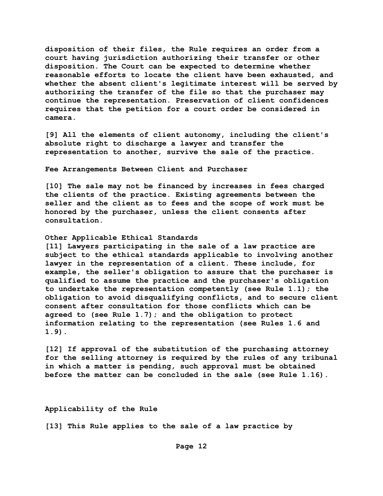**disposition of their files, the Rule requires an order from a court having jurisdiction authorizing their transfer or other disposition. The Court can be expected to determine whether reasonable efforts to locate the client have been exhausted, and whether the absent client's legitimate interest will be served by authorizing the transfer of the file so that the purchaser may continue the representation. Preservation of client confidences requires that the petition for a court order be considered in camera.**

**[9] All the elements of client autonomy, including the client's absolute right to discharge a lawyer and transfer the representation to another, survive the sale of the practice.** 

**Fee Arrangements Between Client and Purchaser** 

**[10] The sale may not be financed by increases in fees charged the clients of the practice. Existing agreements between the seller and the client as to fees and the scope of work must be honored by the purchaser, unless the client consents after consultation.** 

#### **Other Applicable Ethical Standards**

**[11] Lawyers participating in the sale of a law practice are subject to the ethical standards applicable to involving another lawyer in the representation of a client. These include, for example, the seller's obligation to assure that the purchaser is qualified to assume the practice and the purchaser's obligation to undertake the representation competently (see Rule 1.1); the obligation to avoid disqualifying conflicts, and to secure client consent after consultation for those conflicts which can be agreed to (see Rule 1.7); and the obligation to protect information relating to the representation (see Rules 1.6 and 1.9).** 

**[12] If approval of the substitution of the purchasing attorney for the selling attorney is required by the rules of any tribunal in which a matter is pending, such approval must be obtained before the matter can be concluded in the sale (see Rule 1.16).** 

### **Applicability of the Rule**

**[13] This Rule applies to the sale of a law practice by**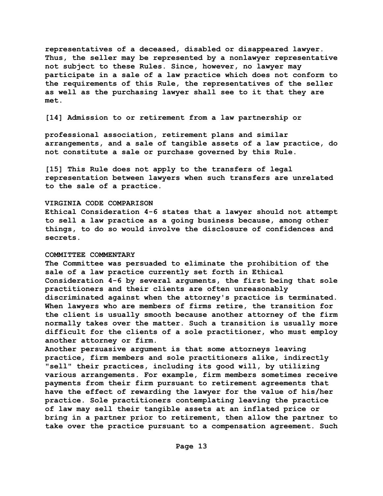**representatives of a deceased, disabled or disappeared lawyer. Thus, the seller may be represented by a nonlawyer representative not subject to these Rules. Since, however, no lawyer may participate in a sale of a law practice which does not conform to the requirements of this Rule, the representatives of the seller as well as the purchasing lawyer shall see to it that they are met.** 

**[14] Admission to or retirement from a law partnership or** 

**professional association, retirement plans and similar arrangements, and a sale of tangible assets of a law practice, do not constitute a sale or purchase governed by this Rule.** 

**[15] This Rule does not apply to the transfers of legal representation between lawyers when such transfers are unrelated to the sale of a practice.** 

### **VIRGINIA CODE COMPARISON**

**Ethical Consideration 4-6 states that a lawyer should not attempt to sell a law practice as a going business because, among other things, to do so would involve the disclosure of confidences and secrets.** 

### **COMMITTEE COMMENTARY**

**The Committee was persuaded to eliminate the prohibition of the sale of a law practice currently set forth in Ethical Consideration 4-6 by several arguments, the first being that sole practitioners and their clients are often unreasonably discriminated against when the attorney's practice is terminated. When lawyers who are members of firms retire, the transition for the client is usually smooth because another attorney of the firm normally takes over the matter. Such a transition is usually more difficult for the clients of a sole practitioner, who must employ another attorney or firm.** 

**Another persuasive argument is that some attorneys leaving practice, firm members and sole practitioners alike, indirectly "sell" their practices, including its good will, by utilizing various arrangements. For example, firm members sometimes receive payments from their firm pursuant to retirement agreements that have the effect of rewarding the lawyer for the value of his/her practice. Sole practitioners contemplating leaving the practice of law may sell their tangible assets at an inflated price or bring in a partner prior to retirement, then allow the partner to take over the practice pursuant to a compensation agreement. Such**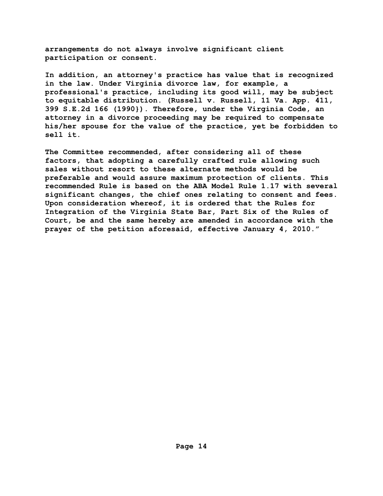**arrangements do not always involve significant client participation or consent.** 

**In addition, an attorney's practice has value that is recognized in the law. Under Virginia divorce law, for example, a professional's practice, including its good will, may be subject to equitable distribution. (Russell v. Russell, 11 Va. App. 411, 399 S.E.2d 166 (1990}). Therefore, under the Virginia Code, an attorney in a divorce proceeding may be required to compensate his/her spouse for the value of the practice, yet be forbidden to sell it.** 

**The Committee recommended, after considering all of these factors, that adopting a carefully crafted rule allowing such sales without resort to these alternate methods would be preferable and would assure maximum protection of clients. This recommended Rule is based on the ABA Model Rule 1.17 with several significant changes, the chief ones relating to consent and fees. Upon consideration whereof, it is ordered that the Rules for Integration of the Virginia State Bar, Part Six of the Rules of Court, be and the same hereby are amended in accordance with the prayer of the petition aforesaid, effective January 4, 2010."**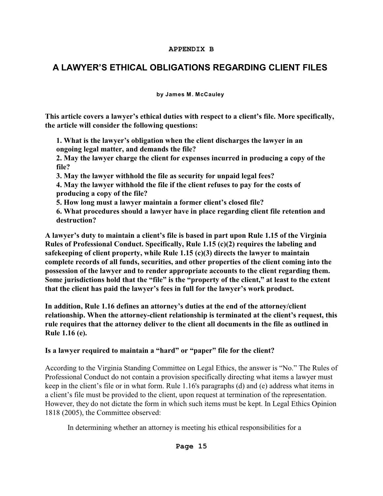### **APPENDIX B**

# **A LAWYER'S ETHICAL OBLIGATIONS REGARDING CLIENT FILES**

### **by James M. McCauley**

**This article covers a lawyer's ethical duties with respect to a client's file. More specifically, the article will consider the following questions:** 

**1. What is the lawyer's obligation when the client discharges the lawyer in an ongoing legal matter, and demands the file?** 

**2. May the lawyer charge the client for expenses incurred in producing a copy of the file?** 

**3. May the lawyer withhold the file as security for unpaid legal fees?** 

**4. May the lawyer withhold the file if the client refuses to pay for the costs of producing a copy of the file?** 

**5. How long must a lawyer maintain a former client's closed file?** 

**6. What procedures should a lawyer have in place regarding client file retention and destruction?** 

**A lawyer's duty to maintain a client's file is based in part upon Rule 1.15 of the Virginia Rules of Professional Conduct. Specifically, Rule 1.15 (c)(2) requires the labeling and safekeeping of client property, while Rule 1.15 (c)(3) directs the lawyer to maintain complete records of all funds, securities, and other properties of the client coming into the possession of the lawyer and to render appropriate accounts to the client regarding them. Some jurisdictions hold that the "file" is the "property of the client," at least to the extent that the client has paid the lawyer's fees in full for the lawyer's work product.** 

**In addition, Rule 1.16 defines an attorney's duties at the end of the attorney/client relationship. When the attorney-client relationship is terminated at the client's request, this rule requires that the attorney deliver to the client all documents in the file as outlined in Rule 1.16 (e).** 

## **Is a lawyer required to maintain a "hard" or "paper" file for the client?**

According to the Virginia Standing Committee on Legal Ethics, the answer is "No." The Rules of Professional Conduct do not contain a provision specifically directing what items a lawyer must keep in the client's file or in what form. Rule 1.16's paragraphs (d) and (e) address what items in a client's file must be provided to the client, upon request at termination of the representation. However, they do not dictate the form in which such items must be kept. In Legal Ethics Opinion 1818 (2005), the Committee observed:

In determining whether an attorney is meeting his ethical responsibilities for a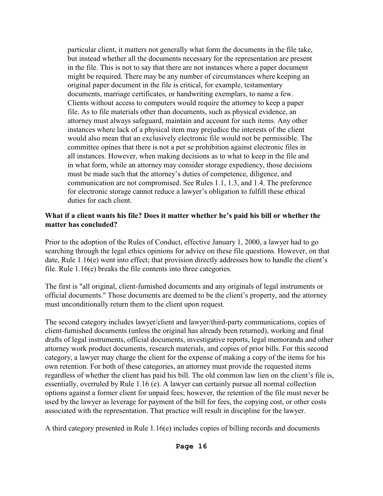particular client, it matters not generally what form the documents in the file take, but instead whether all the documents necessary for the representation are present in the file. This is not to say that there are not instances where a paper document might be required. There may be any number of circumstances where keeping an original paper document in the file is critical, for example, testamentary documents, marriage certificates, or handwriting exemplars, to name a few. Clients without access to computers would require the attorney to keep a paper file. As to file materials other than documents, such as physical evidence, an attorney must always safeguard, maintain and account for such items. Any other instances where lack of a physical item may prejudice the interests of the client would also mean that an exclusively electronic file would not be permissible. The committee opines that there is not a per se prohibition against electronic files in all instances. However, when making decisions as to what to keep in the file and in what form, while an attorney may consider storage expediency, those decisions must be made such that the attorney's duties of competence, diligence, and communication are not compromised. See Rules 1.1, 1.3, and 1.4. The preference for electronic storage cannot reduce a lawyer's obligation to fulfill these ethical duties for each client.

## **What if a client wants his file? Does it matter whether he's paid his bill or whether the matter has concluded?**

Prior to the adoption of the Rules of Conduct, effective January 1, 2000, a lawyer had to go searching through the legal ethics opinions for advice on these file questions. However, on that date, Rule 1.16(e) went into effect; that provision directly addresses how to handle the client's file. Rule 1.16(e) breaks the file contents into three categories.

The first is "all original, client-furnished documents and any originals of legal instruments or official documents." Those documents are deemed to be the client's property, and the attorney must unconditionally return them to the client upon request.

The second category includes lawyer/client and lawyer/third-party communications, copies of client-furnished documents (unless the original has already been returned), working and final drafts of legal instruments, official documents, investigative reports, legal memoranda and other attorney work product documents, research materials, and copies of prior bills. For this second category, a lawyer may charge the client for the expense of making a copy of the items for his own retention. For both of these categories, an attorney must provide the requested items regardless of whether the client has paid his bill. The old common law lien on the client's file is, essentially, overruled by Rule 1.16 (e). A lawyer can certainly pursue all normal collection options against a former client for unpaid fees; however, the retention of the file must never be used by the lawyer as leverage for payment of the bill for fees, the copying cost, or other costs associated with the representation. That practice will result in discipline for the lawyer.

A third category presented in Rule 1.16(e) includes copies of billing records and documents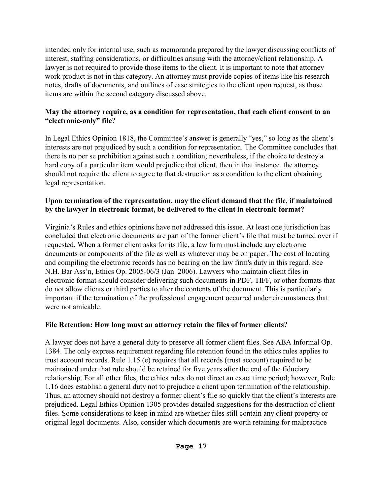intended only for internal use, such as memoranda prepared by the lawyer discussing conflicts of interest, staffing considerations, or difficulties arising with the attorney/client relationship. A lawyer is not required to provide those items to the client. It is important to note that attorney work product is not in this category. An attorney must provide copies of items like his research notes, drafts of documents, and outlines of case strategies to the client upon request, as those items are within the second category discussed above.

## **May the attorney require, as a condition for representation, that each client consent to an "electronic-only" file?**

In Legal Ethics Opinion 1818, the Committee's answer is generally "yes," so long as the client's interests are not prejudiced by such a condition for representation. The Committee concludes that there is no per se prohibition against such a condition; nevertheless, if the choice to destroy a hard copy of a particular item would prejudice that client, then in that instance, the attorney should not require the client to agree to that destruction as a condition to the client obtaining legal representation.

## **Upon termination of the representation, may the client demand that the file, if maintained by the lawyer in electronic format, be delivered to the client in electronic format?**

Virginia's Rules and ethics opinions have not addressed this issue. At least one jurisdiction has concluded that electronic documents are part of the former client's file that must be turned over if requested. When a former client asks for its file, a law firm must include any electronic documents or components of the file as well as whatever may be on paper. The cost of locating and compiling the electronic records has no bearing on the law firm's duty in this regard. See N.H. Bar Ass'n, Ethics Op. 2005-06/3 (Jan. 2006). Lawyers who maintain client files in electronic format should consider delivering such documents in PDF, TIFF, or other formats that do not allow clients or third parties to alter the contents of the document. This is particularly important if the termination of the professional engagement occurred under circumstances that were not amicable.

## **File Retention: How long must an attorney retain the files of former clients?**

A lawyer does not have a general duty to preserve all former client files. See ABA Informal Op. 1384. The only express requirement regarding file retention found in the ethics rules applies to trust account records. Rule 1.15 (e) requires that all records (trust account) required to be maintained under that rule should be retained for five years after the end of the fiduciary relationship. For all other files, the ethics rules do not direct an exact time period; however, Rule 1.16 does establish a general duty not to prejudice a client upon termination of the relationship. Thus, an attorney should not destroy a former client's file so quickly that the client's interests are prejudiced. Legal Ethics Opinion 1305 provides detailed suggestions for the destruction of client files. Some considerations to keep in mind are whether files still contain any client property or original legal documents. Also, consider which documents are worth retaining for malpractice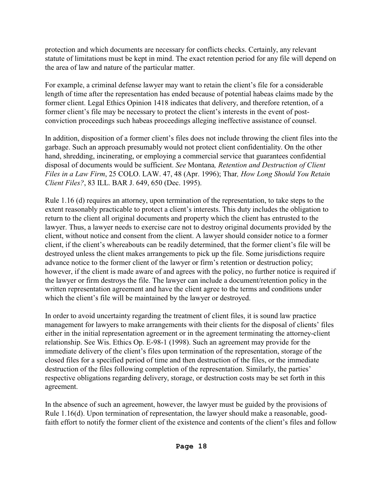protection and which documents are necessary for conflicts checks. Certainly, any relevant statute of limitations must be kept in mind. The exact retention period for any file will depend on the area of law and nature of the particular matter.

For example, a criminal defense lawyer may want to retain the client's file for a considerable length of time after the representation has ended because of potential habeas claims made by the former client. Legal Ethics Opinion 1418 indicates that delivery, and therefore retention, of a former client's file may be necessary to protect the client's interests in the event of postconviction proceedings such habeas proceedings alleging ineffective assistance of counsel.

In addition, disposition of a former client's files does not include throwing the client files into the garbage. Such an approach presumably would not protect client confidentiality. On the other hand, shredding, incinerating, or employing a commercial service that guarantees confidential disposal of documents would be sufficient. *See* Montana*, Retention and Destruction of Client Files in a Law Firm*, 25 COLO. LAW. 47, 48 (Apr. 1996); Thar*, How Long Should You Retain Client Files?*, 83 ILL. BAR J. 649, 650 (Dec. 1995).

Rule 1.16 (d) requires an attorney, upon termination of the representation, to take steps to the extent reasonably practicable to protect a client's interests. This duty includes the obligation to return to the client all original documents and property which the client has entrusted to the lawyer. Thus, a lawyer needs to exercise care not to destroy original documents provided by the client, without notice and consent from the client. A lawyer should consider notice to a former client, if the client's whereabouts can be readily determined, that the former client's file will be destroyed unless the client makes arrangements to pick up the file. Some jurisdictions require advance notice to the former client of the lawyer or firm's retention or destruction policy; however, if the client is made aware of and agrees with the policy, no further notice is required if the lawyer or firm destroys the file. The lawyer can include a document/retention policy in the written representation agreement and have the client agree to the terms and conditions under which the client's file will be maintained by the lawyer or destroyed.

In order to avoid uncertainty regarding the treatment of client files, it is sound law practice management for lawyers to make arrangements with their clients for the disposal of clients' files either in the initial representation agreement or in the agreement terminating the attorney-client relationship. See Wis. Ethics Op. E-98-1 (1998). Such an agreement may provide for the immediate delivery of the client's files upon termination of the representation, storage of the closed files for a specified period of time and then destruction of the files, or the immediate destruction of the files following completion of the representation. Similarly, the parties' respective obligations regarding delivery, storage, or destruction costs may be set forth in this agreement.

In the absence of such an agreement, however, the lawyer must be guided by the provisions of Rule 1.16(d). Upon termination of representation, the lawyer should make a reasonable, goodfaith effort to notify the former client of the existence and contents of the client's files and follow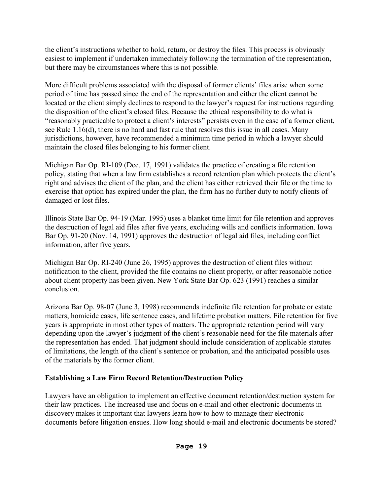the client's instructions whether to hold, return, or destroy the files. This process is obviously easiest to implement if undertaken immediately following the termination of the representation, but there may be circumstances where this is not possible.

More difficult problems associated with the disposal of former clients' files arise when some period of time has passed since the end of the representation and either the client cannot be located or the client simply declines to respond to the lawyer's request for instructions regarding the disposition of the client's closed files. Because the ethical responsibility to do what is "reasonably practicable to protect a client's interests" persists even in the case of a former client, see Rule 1.16(d), there is no hard and fast rule that resolves this issue in all cases. Many jurisdictions, however, have recommended a minimum time period in which a lawyer should maintain the closed files belonging to his former client.

Michigan Bar Op. RI-109 (Dec. 17, 1991) validates the practice of creating a file retention policy, stating that when a law firm establishes a record retention plan which protects the client's right and advises the client of the plan, and the client has either retrieved their file or the time to exercise that option has expired under the plan, the firm has no further duty to notify clients of damaged or lost files.

Illinois State Bar Op. 94-19 (Mar. 1995) uses a blanket time limit for file retention and approves the destruction of legal aid files after five years, excluding wills and conflicts information. Iowa Bar Op. 91-20 (Nov. 14, 1991) approves the destruction of legal aid files, including conflict information, after five years.

Michigan Bar Op. RI-240 (June 26, 1995) approves the destruction of client files without notification to the client, provided the file contains no client property, or after reasonable notice about client property has been given. New York State Bar Op. 623 (1991) reaches a similar conclusion.

Arizona Bar Op. 98-07 (June 3, 1998) recommends indefinite file retention for probate or estate matters, homicide cases, life sentence cases, and lifetime probation matters. File retention for five years is appropriate in most other types of matters. The appropriate retention period will vary depending upon the lawyer's judgment of the client's reasonable need for the file materials after the representation has ended. That judgment should include consideration of applicable statutes of limitations, the length of the client's sentence or probation, and the anticipated possible uses of the materials by the former client.

## **Establishing a Law Firm Record Retention/Destruction Policy**

Lawyers have an obligation to implement an effective document retention/destruction system for their law practices. The increased use and focus on e-mail and other electronic documents in discovery makes it important that lawyers learn how to how to manage their electronic documents before litigation ensues. How long should e-mail and electronic documents be stored?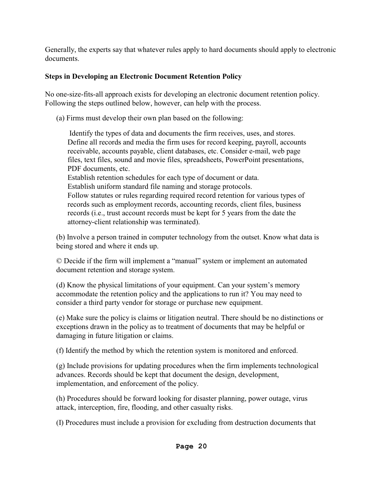Generally, the experts say that whatever rules apply to hard documents should apply to electronic documents.

## **Steps in Developing an Electronic Document Retention Policy**

No one-size-fits-all approach exists for developing an electronic document retention policy. Following the steps outlined below, however, can help with the process.

(a) Firms must develop their own plan based on the following:

 Identify the types of data and documents the firm receives, uses, and stores. Define all records and media the firm uses for record keeping, payroll, accounts receivable, accounts payable, client databases, etc. Consider e-mail, web page files, text files, sound and movie files, spreadsheets, PowerPoint presentations, PDF documents, etc. Establish retention schedules for each type of document or data. Establish uniform standard file naming and storage protocols. Follow statutes or rules regarding required record retention for various types of records such as employment records, accounting records, client files, business

records (i.e., trust account records must be kept for 5 years from the date the attorney-client relationship was terminated).

(b) Involve a person trained in computer technology from the outset. Know what data is being stored and where it ends up.

© Decide if the firm will implement a "manual" system or implement an automated document retention and storage system.

(d) Know the physical limitations of your equipment. Can your system's memory accommodate the retention policy and the applications to run it? You may need to consider a third party vendor for storage or purchase new equipment.

(e) Make sure the policy is claims or litigation neutral. There should be no distinctions or exceptions drawn in the policy as to treatment of documents that may be helpful or damaging in future litigation or claims.

(f) Identify the method by which the retention system is monitored and enforced.

(g) Include provisions for updating procedures when the firm implements technological advances. Records should be kept that document the design, development, implementation, and enforcement of the policy.

(h) Procedures should be forward looking for disaster planning, power outage, virus attack, interception, fire, flooding, and other casualty risks.

(I) Procedures must include a provision for excluding from destruction documents that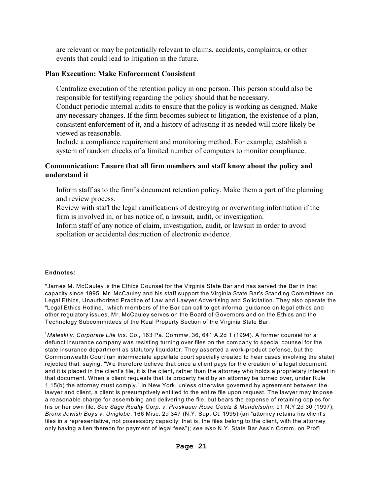are relevant or may be potentially relevant to claims, accidents, complaints, or other events that could lead to litigation in the future.

## **Plan Execution: Make Enforcement Consistent**

Centralize execution of the retention policy in one person. This person should also be responsible for testifying regarding the policy should that be necessary.

Conduct periodic internal audits to ensure that the policy is working as designed. Make any necessary changes. If the firm becomes subject to litigation, the existence of a plan, consistent enforcement of it, and a history of adjusting it as needed will more likely be viewed as reasonable.

Include a compliance requirement and monitoring method. For example, establish a system of random checks of a limited number of computers to monitor compliance.

## **Communication: Ensure that all firm members and staff know about the policy and understand it**

Inform staff as to the firm's document retention policy. Make them a part of the planning and review process.

Review with staff the legal ramifications of destroying or overwriting information if the firm is involved in, or has notice of, a lawsuit, audit, or investigation.

Inform staff of any notice of claim, investigation, audit, or lawsuit in order to avoid spoliation or accidental destruction of electronic evidence.

## **Endnotes:**

\*James M. McCauley is the Ethics Counsel for the Virginia State Bar and has served the Bar in that capacity since 1995. Mr. McCauley and his staff support the Virginia State Bar's Standing Committees on Legal Ethics, Unauthorized Practice of Law and Lawyer Advertising and Solicitation. They also operate the "Legal Ethics Hotline," which members of the Bar can call to get informal guidance on legal ethics and other regulatory issues. Mr. McCauley serves on the Board of Governors and on the Ethics and the Technology Subcommittees of the Real Property Section of the Virginia State Bar.

*Maleski v. Corporate Life Ins. Co*., 163 Pa. Commw. 36, 641 A.2d 1 (1994). A former counsel for a 1 defunct insurance company was resisting turning over files on the company to special counsel for the state insurance department as statutory liquidator. They asserted a work-product defense, but the Commonwealth Court (an intermediate appellate court specially created to hear cases involving the state) rejected that, saying, "W e therefore believe that once a client pays for the creation of a legal document, and it is placed in the client's file, it is the client, rather than the attorney who holds a proprietary interest in that document. W hen a client requests that its property held by an attorney be turned over, under Rule 1.15(b) the attorney must comply." In New York, unless otherwise governed by agreement between the lawyer and client, a client is presumptively entitled to the entire file upon request. The lawyer may impose a reasonable charge for assembling and delivering the file, but bears the expense of retaining copies for his or her own file. *See Sage Realty Corp. v. Proskauer Rose Goetz & Mendelsohn*, 91 N.Y.2d 30 (1997); *Bronx Jewish Boys v. Uniglobe*, 166 Misc. 2d 347 (N.Y. Sup. Ct. 1995) (an "attorney retains his client's files in a representative, not possessory capacity; that is, the files belong to the client, with the attorney only having a lien thereon for payment of legal fees"); *see also* N.Y. State Bar Ass'n Comm. on Prof'l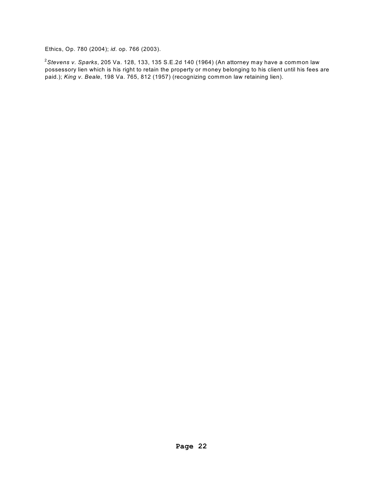Ethics, Op. 780 (2004); *id.* op. 766 (2003).

*Stevens v. Sparks*, 205 Va. 128, 133, 135 S.E.2d 140 (1964) (An attorney may have a common law 2 possessory lien which is his right to retain the property or money belonging to his client until his fees are paid.); *King v. Beale*, 198 Va. 765, 812 (1957) (recognizing common law retaining lien).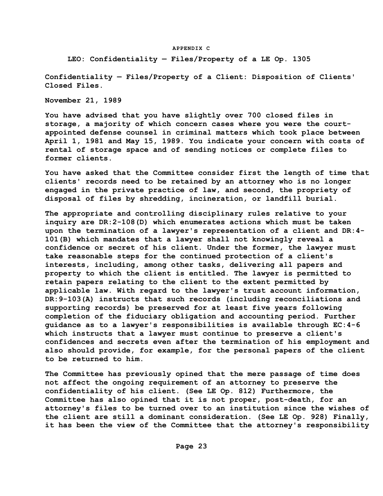#### **APPENDIX C**

**LEO: Confidentiality — Files/Property of a LE Op. 1305**

**Confidentiality — Files/Property of a Client: Disposition of Clients' Closed Files.**

**November 21, 1989**

**You have advised that you have slightly over 700 closed files in storage, a majority of which concern cases where you were the courtappointed defense counsel in criminal matters which took place between April 1, 1981 and May 15, 1989. You indicate your concern with costs of rental of storage space and of sending notices or complete files to former clients.**

**You have asked that the Committee consider first the length of time that clients' records need to be retained by an attorney who is no longer engaged in the private practice of law, and second, the propriety of disposal of files by shredding, incineration, or landfill burial.**

**The appropriate and controlling disciplinary rules relative to your inquiry are DR:2-108(D) which enumerates actions which must be taken upon the termination of a lawyer's representation of a client and DR:4- 101(B) which mandates that a lawyer shall not knowingly reveal a confidence or secret of his client. Under the former, the lawyer must take reasonable steps for the continued protection of a client's interests, including, among other tasks, delivering all papers and property to which the client is entitled. The lawyer is permitted to retain papers relating to the client to the extent permitted by applicable law. With regard to the lawyer's trust account information, DR:9-103(A) instructs that such records (including reconciliations and supporting records) be preserved for at least five years following completion of the fiduciary obligation and accounting period. Further guidance as to a lawyer's responsibilities is available through EC:4-6 which instructs that a lawyer must continue to preserve a client's confidences and secrets even after the termination of his employment and also should provide, for example, for the personal papers of the client to be returned to him.**

**The Committee has previously opined that the mere passage of time does not affect the ongoing requirement of an attorney to preserve the confidentiality of his client. (See LE Op. 812) Furthermore, the Committee has also opined that it is not proper, post-death, for an attorney's files to be turned over to an institution since the wishes of the client are still a dominant consideration. (See LE Op. 928) Finally, it has been the view of the Committee that the attorney's responsibility**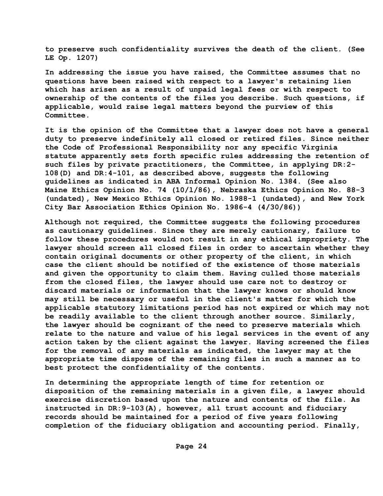**to preserve such confidentiality survives the death of the client. (See LE Op. 1207)**

**In addressing the issue you have raised, the Committee assumes that no questions have been raised with respect to a lawyer's retaining lien which has arisen as a result of unpaid legal fees or with respect to ownership of the contents of the files you describe. Such questions, if applicable, would raise legal matters beyond the purview of this Committee.**

**It is the opinion of the Committee that a lawyer does not have a general duty to preserve indefinitely all closed or retired files. Since neither the Code of Professional Responsibility nor any specific Virginia statute apparently sets forth specific rules addressing the retention of such files by private practitioners, the Committee, in applying DR:2- 108(D) and DR:4-101, as described above, suggests the following guidelines as indicated in ABA Informal Opinion No. 1384. (See also Maine Ethics Opinion No. 74 (10/l/86), Nebraska Ethics Opinion No. 88-3 (undated), New Mexico Ethics Opinion No. 1988-1 (undated), and New York City Bar Association Ethics Opinion No. 1986-4 (4/30/86))**

**Although not required, the Committee suggests the following procedures as cautionary guidelines. Since they are merely cautionary, failure to follow these procedures would not result in any ethical impropriety. The lawyer should screen all closed files in order to ascertain whether they contain original documents or other property of the client, in which case the client should be notified of the existence of those materials and given the opportunity to claim them. Having culled those materials from the closed files, the lawyer should use care not to destroy or discard materials or information that the lawyer knows or should know may still be necessary or useful in the client's matter for which the applicable statutory limitations period has not expired or which may not be readily available to the client through another source. Similarly, the lawyer should be cognizant of the need to preserve materials which relate to the nature and value of his legal services in the event of any action taken by the client against the lawyer. Having screened the files for the removal of any materials as indicated, the lawyer may at the appropriate time dispose of the remaining files in such a manner as to best protect the confidentiality of the contents.**

**In determining the appropriate length of time for retention or disposition of the remaining materials in a given file, a lawyer should exercise discretion based upon the nature and contents of the file. As instructed in DR:9-103(A), however, all trust account and fiduciary records should be maintained for a period of five years following completion of the fiduciary obligation and accounting period. Finally,**